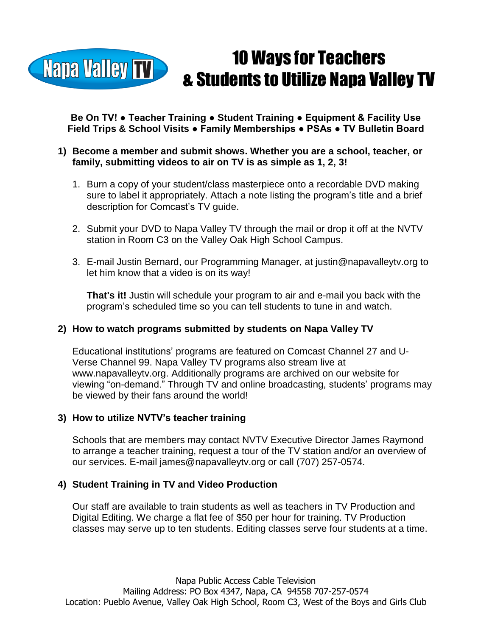

**Be On TV! ● Teacher Training ● Student Training ● Equipment & Facility Use Field Trips & School Visits ● Family Memberships ● PSAs ● TV Bulletin Board**

## **1) Become a member and submit shows. Whether you are a school, teacher, or family, submitting videos to air on TV is as simple as 1, 2, 3!**

- 1. Burn a copy of your student/class masterpiece onto a recordable DVD making sure to label it appropriately. Attach a note listing the program's title and a brief description for Comcast's TV guide.
- 2. Submit your DVD to Napa Valley TV through the mail or drop it off at the NVTV station in Room C3 on the Valley Oak High School Campus.
- 3. E-mail Justin Bernard, our Programming Manager, at justin@napavalleytv.org to let him know that a video is on its way!

**That's it!** Justin will schedule your program to air and e-mail you back with the program's scheduled time so you can tell students to tune in and watch.

## **2) How to watch programs submitted by students on Napa Valley TV**

Educational institutions' programs are featured on Comcast Channel 27 and U-Verse Channel 99. Napa Valley TV programs also stream live at www.napavalleytv.org. Additionally programs are archived on our website for viewing "on-demand." Through TV and online broadcasting, students' programs may be viewed by their fans around the world!

## **3) How to utilize NVTV's teacher training**

Schools that are members may contact NVTV Executive Director James Raymond to arrange a teacher training, request a tour of the TV station and/or an overview of our services. E-mail james@napavalleytv.org or call (707) 257-0574.

## **4) Student Training in TV and Video Production**

Our staff are available to train students as well as teachers in TV Production and Digital Editing. We charge a flat fee of \$50 per hour for training. TV Production classes may serve up to ten students. Editing classes serve four students at a time.